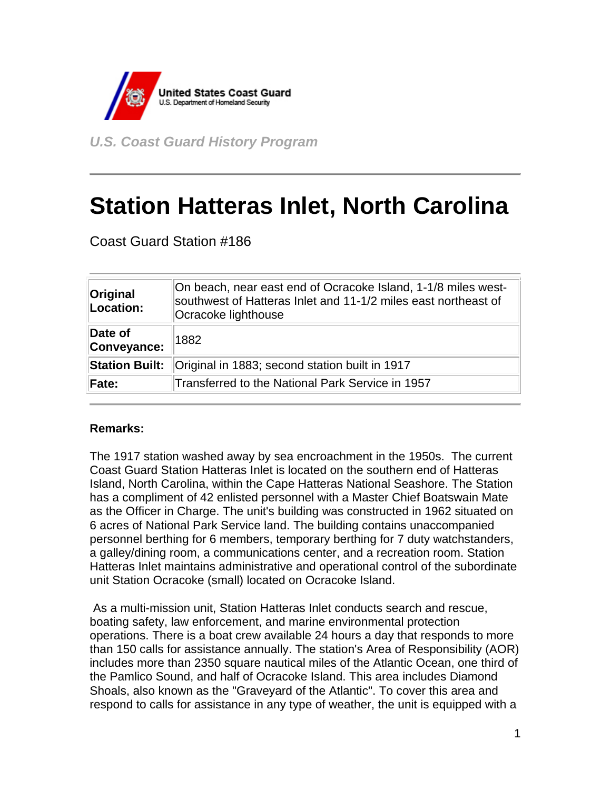

*U.S. Coast Guard History Program* 

## **Station Hatteras Inlet, North Carolina**

Coast Guard Station #186

| Original<br>Location:  | On beach, near east end of Ocracoke Island, 1-1/8 miles west-<br>southwest of Hatteras Inlet and 11-1/2 miles east northeast of<br>Ocracoke lighthouse |
|------------------------|--------------------------------------------------------------------------------------------------------------------------------------------------------|
| Date of<br>Conveyance: | 1882                                                                                                                                                   |
| <b>Station Built:</b>  | Original in 1883; second station built in 1917                                                                                                         |
| Fate:                  | Transferred to the National Park Service in 1957                                                                                                       |

## **Remarks:**

The 1917 station washed away by sea encroachment in the 1950s. The current Coast Guard Station Hatteras Inlet is located on the southern end of Hatteras Island, North Carolina, within the Cape Hatteras National Seashore. The Station has a compliment of 42 enlisted personnel with a Master Chief Boatswain Mate as the Officer in Charge. The unit's building was constructed in 1962 situated on 6 acres of National Park Service land. The building contains unaccompanied personnel berthing for 6 members, temporary berthing for 7 duty watchstanders, a galley/dining room, a communications center, and a recreation room. Station Hatteras Inlet maintains administrative and operational control of the subordinate unit Station Ocracoke (small) located on Ocracoke Island.

 As a multi-mission unit, Station Hatteras Inlet conducts search and rescue, boating safety, law enforcement, and marine environmental protection operations. There is a boat crew available 24 hours a day that responds to more than 150 calls for assistance annually. The station's Area of Responsibility (AOR) includes more than 2350 square nautical miles of the Atlantic Ocean, one third of the Pamlico Sound, and half of Ocracoke Island. This area includes Diamond Shoals, also known as the "Graveyard of the Atlantic". To cover this area and respond to calls for assistance in any type of weather, the unit is equipped with a